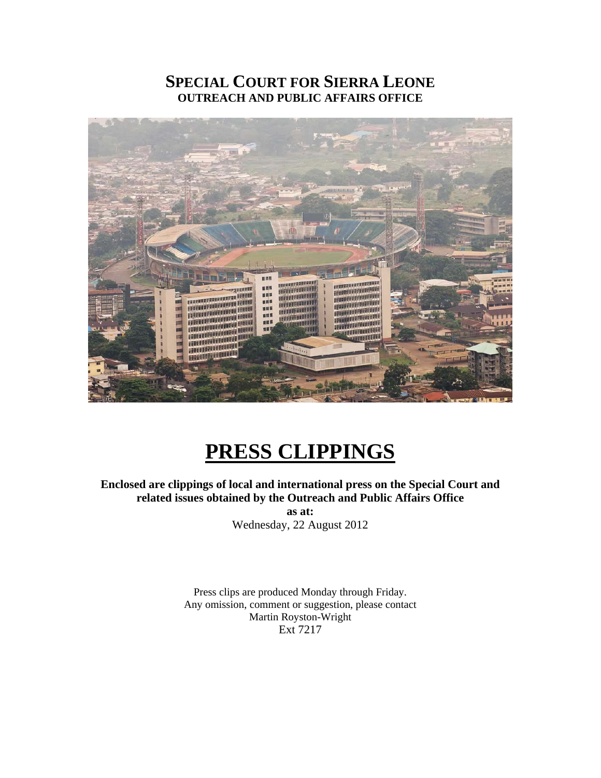## **SPECIAL COURT FOR SIERRA LEONE OUTREACH AND PUBLIC AFFAIRS OFFICE**



# **PRESS CLIPPINGS**

**Enclosed are clippings of local and international press on the Special Court and related issues obtained by the Outreach and Public Affairs Office as at:** 

Wednesday, 22 August 2012

Press clips are produced Monday through Friday. Any omission, comment or suggestion, please contact Martin Royston-Wright Ext 7217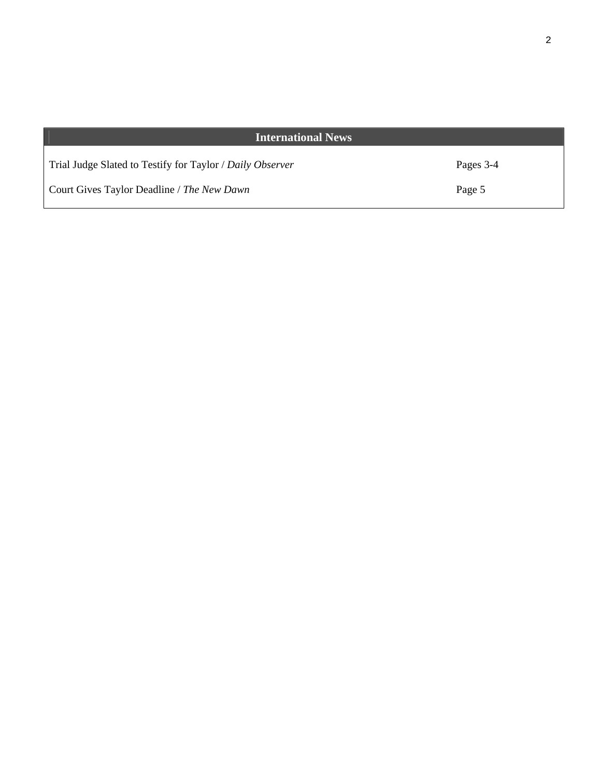### **International News**

Trial Judge Slated to Testify for Taylor / *Daily Observer*

Court Gives Taylor Deadline / *The New Dawn* 

Pages 3-4

Page 5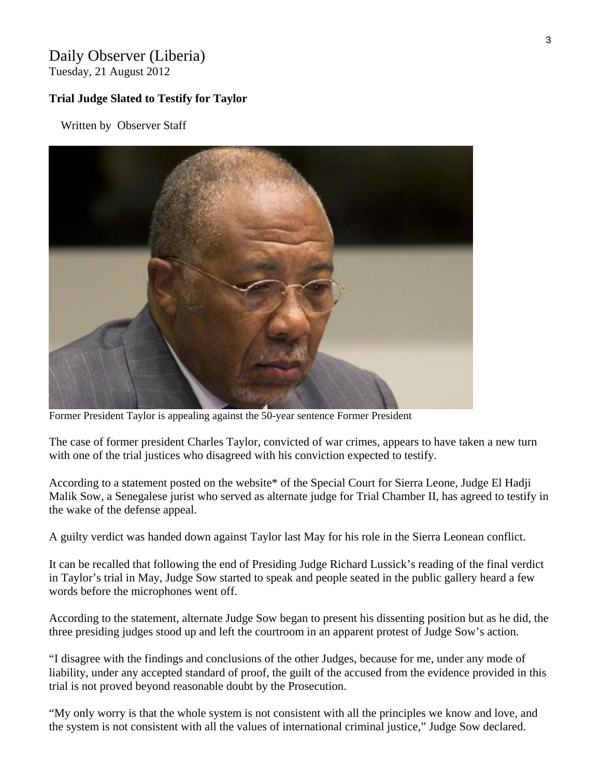## Daily Observer (Liberia)

Tuesday, 21 August 2012

#### **Trial Judge Slated to Testify for Taylor**

Written by Observer Staff



Former President Taylor is appealing against the 50-year sentence Former President

The case of former president Charles Taylor, convicted of war crimes, appears to have taken a new turn with one of the trial justices who disagreed with his conviction expected to testify.

According to a statement posted on the website\* of the Special Court for Sierra Leone, Judge El Hadji Malik Sow, a Senegalese jurist who served as alternate judge for Trial Chamber II, has agreed to testify in the wake of the defense appeal.

A guilty verdict was handed down against Taylor last May for his role in the Sierra Leonean conflict.

It can be recalled that following the end of Presiding Judge Richard Lussick's reading of the final verdict in Taylor's trial in May, Judge Sow started to speak and people seated in the public gallery heard a few words before the microphones went off.

According to the statement, alternate Judge Sow began to present his dissenting position but as he did, the three presiding judges stood up and left the courtroom in an apparent protest of Judge Sow's action.

"I disagree with the findings and conclusions of the other Judges, because for me, under any mode of liability, under any accepted standard of proof, the guilt of the accused from the evidence provided in this trial is not proved beyond reasonable doubt by the Prosecution.

"My only worry is that the whole system is not consistent with all the principles we know and love, and the system is not consistent with all the values of international criminal justice," Judge Sow declared.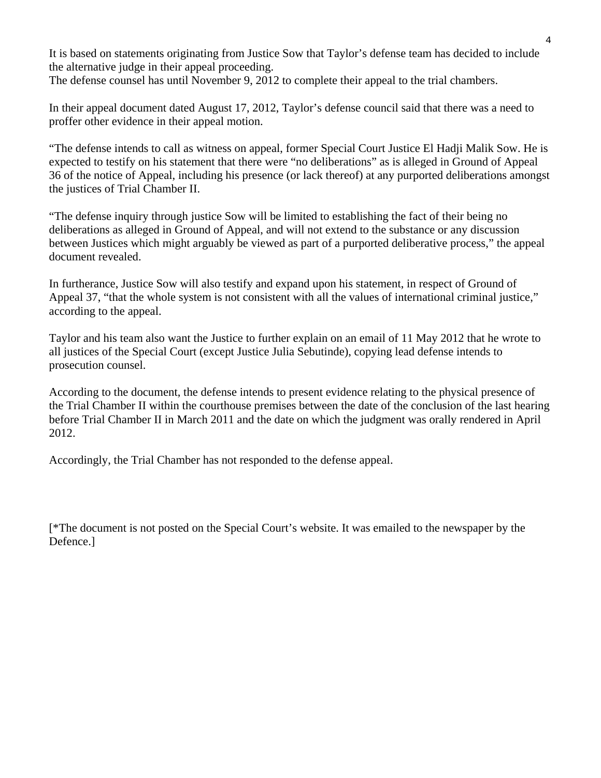It is based on statements originating from Justice Sow that Taylor's defense team has decided to include the alternative judge in their appeal proceeding.

The defense counsel has until November 9, 2012 to complete their appeal to the trial chambers.

In their appeal document dated August 17, 2012, Taylor's defense council said that there was a need to proffer other evidence in their appeal motion.

"The defense intends to call as witness on appeal, former Special Court Justice El Hadji Malik Sow. He is expected to testify on his statement that there were "no deliberations" as is alleged in Ground of Appeal 36 of the notice of Appeal, including his presence (or lack thereof) at any purported deliberations amongst the justices of Trial Chamber II.

"The defense inquiry through justice Sow will be limited to establishing the fact of their being no deliberations as alleged in Ground of Appeal, and will not extend to the substance or any discussion between Justices which might arguably be viewed as part of a purported deliberative process," the appeal document revealed.

In furtherance, Justice Sow will also testify and expand upon his statement, in respect of Ground of Appeal 37, "that the whole system is not consistent with all the values of international criminal justice," according to the appeal.

Taylor and his team also want the Justice to further explain on an email of 11 May 2012 that he wrote to all justices of the Special Court (except Justice Julia Sebutinde), copying lead defense intends to prosecution counsel.

According to the document, the defense intends to present evidence relating to the physical presence of the Trial Chamber II within the courthouse premises between the date of the conclusion of the last hearing before Trial Chamber II in March 2011 and the date on which the judgment was orally rendered in April 2012.

Accordingly, the Trial Chamber has not responded to the defense appeal.

[\*The document is not posted on the Special Court's website. It was emailed to the newspaper by the Defence.]